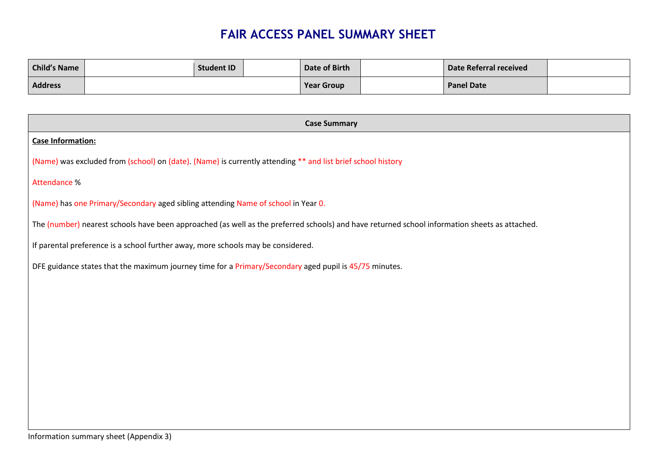## **FAIR ACCESS PANEL SUMMARY SHEET**

| <b>Child's Name</b> | <b>Student ID</b> | Date of Birth     | Date Referral received |  |
|---------------------|-------------------|-------------------|------------------------|--|
| <b>Address</b>      |                   | <b>Year Group</b> | <b>Panel Date</b>      |  |

| <b>Case Summary</b>                                                                                                                           |
|-----------------------------------------------------------------------------------------------------------------------------------------------|
| <b>Case Information:</b>                                                                                                                      |
| (Name) was excluded from (school) on (date). (Name) is currently attending ** and list brief school history                                   |
| Attendance %                                                                                                                                  |
| (Name) has one Primary/Secondary aged sibling attending Name of school in Year 0.                                                             |
| The (number) nearest schools have been approached (as well as the preferred schools) and have returned school information sheets as attached. |
| If parental preference is a school further away, more schools may be considered.                                                              |
| DFE guidance states that the maximum journey time for a Primary/Secondary aged pupil is 45/75 minutes.                                        |
|                                                                                                                                               |
|                                                                                                                                               |
|                                                                                                                                               |
|                                                                                                                                               |
|                                                                                                                                               |
|                                                                                                                                               |
|                                                                                                                                               |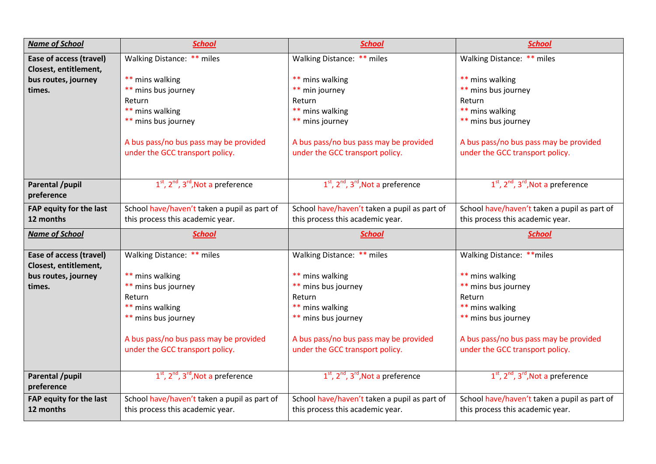| <b>Name of School</b>   | <b>School</b>                                | <b>School</b>                                | <b>School</b>                                |
|-------------------------|----------------------------------------------|----------------------------------------------|----------------------------------------------|
| Ease of access (travel) | Walking Distance: ** miles                   | Walking Distance: ** miles                   | Walking Distance: ** miles                   |
| Closest, entitlement,   |                                              |                                              |                                              |
| bus routes, journey     | ** mins walking                              | ** mins walking                              | ** mins walking                              |
| times.                  | ** mins bus journey                          | ** min journey                               | ** mins bus journey                          |
|                         | Return                                       | Return                                       | Return                                       |
|                         | ** mins walking                              | ** mins walking                              | ** mins walking                              |
|                         | ** mins bus journey                          | ** mins journey                              | ** mins bus journey                          |
|                         |                                              |                                              |                                              |
|                         | A bus pass/no bus pass may be provided       | A bus pass/no bus pass may be provided       | A bus pass/no bus pass may be provided       |
|                         | under the GCC transport policy.              | under the GCC transport policy.              | under the GCC transport policy.              |
|                         |                                              |                                              |                                              |
| <b>Parental /pupil</b>  | $1st$ , $2nd$ , $3rd$ , Not a preference     | $1st$ , $2nd$ , $3rd$ , Not a preference     | $1st$ , $2nd$ , $3rd$ , Not a preference     |
| preference              |                                              |                                              |                                              |
| FAP equity for the last | School have/haven't taken a pupil as part of | School have/haven't taken a pupil as part of | School have/haven't taken a pupil as part of |
| 12 months               | this process this academic year.             | this process this academic year.             | this process this academic year.             |
|                         |                                              |                                              |                                              |
|                         |                                              |                                              |                                              |
| <b>Name of School</b>   | <b>School</b>                                | <b>School</b>                                | <b>School</b>                                |
| Ease of access (travel) | Walking Distance: ** miles                   | Walking Distance: ** miles                   | Walking Distance: ** miles                   |
| Closest, entitlement,   |                                              |                                              |                                              |
| bus routes, journey     | ** mins walking                              | ** mins walking                              | ** mins walking                              |
| times.                  | ** mins bus journey                          | ** mins bus journey                          | ** mins bus journey                          |
|                         | Return                                       | Return                                       | Return                                       |
|                         | ** mins walking                              | ** mins walking                              | ** mins walking                              |
|                         | ** mins bus journey                          | ** mins bus journey                          | ** mins bus journey                          |
|                         |                                              |                                              |                                              |
|                         | A bus pass/no bus pass may be provided       | A bus pass/no bus pass may be provided       | A bus pass/no bus pass may be provided       |
|                         | under the GCC transport policy.              | under the GCC transport policy.              | under the GCC transport policy.              |
|                         |                                              |                                              |                                              |
| <b>Parental /pupil</b>  | $1st$ , $2nd$ , $3rd$ , Not a preference     | $1st$ , $2nd$ , $3rd$ , Not a preference     | $1st$ , $2nd$ , $3rd$ , Not a preference     |
| preference              |                                              |                                              |                                              |
| FAP equity for the last | School have/haven't taken a pupil as part of | School have/haven't taken a pupil as part of | School have/haven't taken a pupil as part of |
| 12 months               | this process this academic year.             | this process this academic year.             | this process this academic year.             |